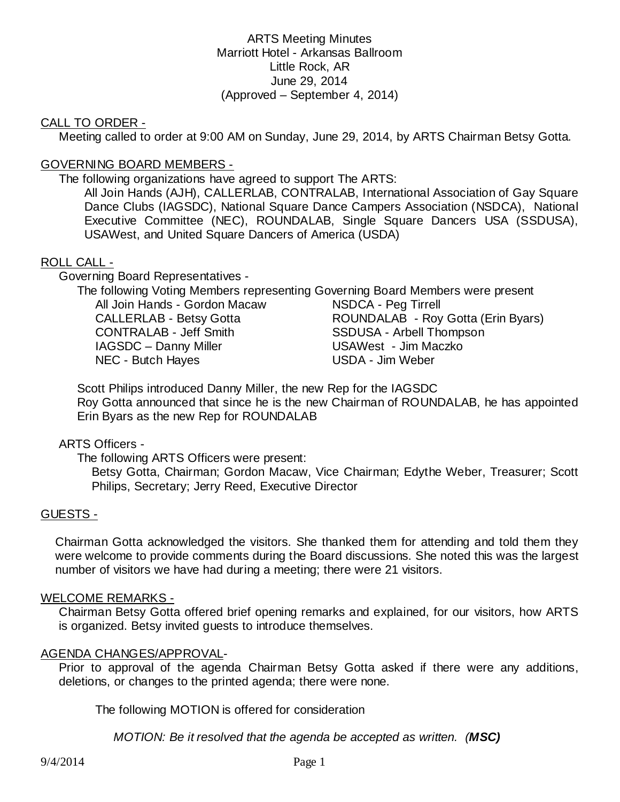## ARTS Meeting Minutes Marriott Hotel - Arkansas Ballroom Little Rock, AR June 29, 2014 (Approved – September 4, 2014)

## CALL TO ORDER -

Meeting called to order at 9:00 AM on Sunday, June 29, 2014, by ARTS Chairman Betsy Gotta.

## GOVERNING BOARD MEMBERS -

The following organizations have agreed to support The ARTS:

All Join Hands (AJH), CALLERLAB, CONTRALAB, International Association of Gay Square Dance Clubs (IAGSDC), National Square Dance Campers Association (NSDCA), National Executive Committee (NEC), ROUNDALAB, Single Square Dancers USA (SSDUSA), USAWest, and United Square Dancers of America (USDA)

## ROLL CALL -

Governing Board Representatives -

The following Voting Members representing Governing Board Members were present

All Join Hands - Gordon Macaw NSDCA - Peg Tirrell CONTRALAB - Jeff Smith SSDUSA - Arbell Thompson IAGSDC – Danny Miller **Cameran Example 18 USAWest** - Jim Maczko NEC - Butch Hayes USDA - Jim Weber

CALLERLAB - Betsy Gotta **ROUNDALAB - Roy Gotta (Erin Byars)** 

 Scott Philips introduced Danny Miller, the new Rep for the IAGSDC Roy Gotta announced that since he is the new Chairman of ROUNDALAB, he has appointed Erin Byars as the new Rep for ROUNDALAB

## ARTS Officers -

The following ARTS Officers were present:

Betsy Gotta, Chairman; Gordon Macaw, Vice Chairman; Edythe Weber, Treasurer; Scott Philips, Secretary; Jerry Reed, Executive Director

## GUESTS -

Chairman Gotta acknowledged the visitors. She thanked them for attending and told them they were welcome to provide comments during the Board discussions. She noted this was the largest number of visitors we have had during a meeting; there were 21 visitors.

#### WELCOME REMARKS -

Chairman Betsy Gotta offered brief opening remarks and explained, for our visitors, how ARTS is organized. Betsy invited guests to introduce themselves.

#### AGENDA CHANGES/APPROVAL-

Prior to approval of the agenda Chairman Betsy Gotta asked if there were any additions, deletions, or changes to the printed agenda; there were none.

The following MOTION is offered for consideration

*MOTION: Be it resolved that the agenda be accepted as written. (MSC)*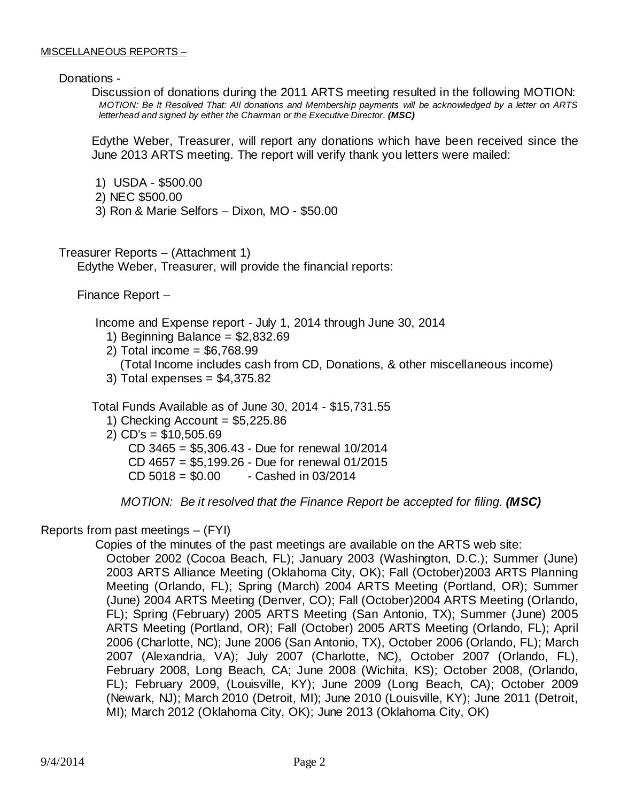Donations -

Discussion of donations during the 2011 ARTS meeting resulted in the following MOTION: *MOTION: Be It Resolved That: All donations and Membership payments will be acknowledged by a letter on ARTS letterhead and signed by either the Chairman or the Executive Director. (MSC)* 

Edythe Weber, Treasurer, will report any donations which have been received since the June 2013 ARTS meeting. The report will verify thank you letters were mailed:

- 1) USDA \$500.00
- 2) NEC \$500.00
- 3) Ron & Marie Selfors Dixon, MO \$50.00

Treasurer Reports – (Attachment 1) Edythe Weber, Treasurer, will provide the financial reports:

Finance Report –

Income and Expense report - July 1, 2014 through June 30, 2014

- 1) Beginning Balance =  $$2,832.69$
- 2) Total income = \$6,768.99
- (Total Income includes cash from CD, Donations, & other miscellaneous income)

3) Total expenses = \$4,375.82

Total Funds Available as of June 30, 2014 - \$15,731.55

1) Checking Account  $= $5,225.86$ 

2) CD's = \$10,505.69

CD 3465 = \$5,306.43 - Due for renewal 10/2014

CD 4657 = \$5,199.26 - Due for renewal 01/2015

 $CD 5018 = $0.00$  - Cashed in 03/2014

*MOTION: Be it resolved that the Finance Report be accepted for filing. (MSC)* 

Reports from past meetings – (FYI)

Copies of the minutes of the past meetings are available on the ARTS web site:

October 2002 (Cocoa Beach, FL); January 2003 (Washington, D.C.); Summer (June) 2003 ARTS Alliance Meeting (Oklahoma City, OK); Fall (October)2003 ARTS Planning Meeting (Orlando, FL); Spring (March) 2004 ARTS Meeting (Portland, OR); Summer (June) 2004 ARTS Meeting (Denver, CO); Fall (October)2004 ARTS Meeting (Orlando, FL); Spring (February) 2005 ARTS Meeting (San Antonio, TX); Summer (June) 2005 ARTS Meeting (Portland, OR); Fall (October) 2005 ARTS Meeting (Orlando, FL); April 2006 (Charlotte, NC); June 2006 (San Antonio, TX), October 2006 (Orlando, FL); March 2007 (Alexandria, VA); July 2007 (Charlotte, NC), October 2007 (Orlando, FL), February 2008, Long Beach, CA; June 2008 (Wichita, KS); October 2008, (Orlando, FL); February 2009, (Louisville, KY); June 2009 (Long Beach, CA); October 2009 (Newark, NJ); March 2010 (Detroit, MI); June 2010 (Louisville, KY); June 2011 (Detroit, MI); March 2012 (Oklahoma City, OK); June 2013 (Oklahoma City, OK)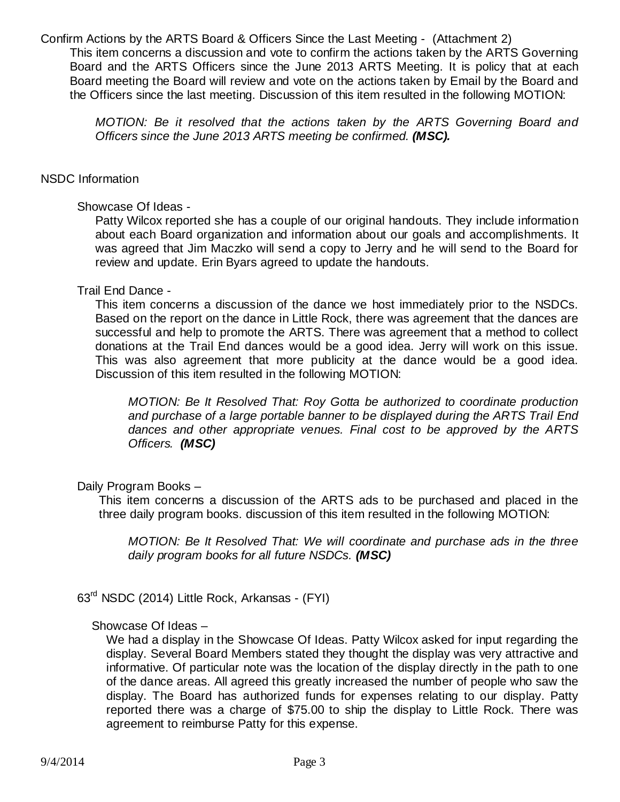Confirm Actions by the ARTS Board & Officers Since the Last Meeting - (Attachment 2) This item concerns a discussion and vote to confirm the actions taken by the ARTS Governing Board and the ARTS Officers since the June 2013 ARTS Meeting. It is policy that at each Board meeting the Board will review and vote on the actions taken by Email by the Board and the Officers since the last meeting. Discussion of this item resulted in the following MOTION:

*MOTION: Be it resolved that the actions taken by the ARTS Governing Board and Officers since the June 2013 ARTS meeting be confirmed. (MSC).*

#### NSDC Information

#### Showcase Of Ideas -

Patty Wilcox reported she has a couple of our original handouts. They include information about each Board organization and information about our goals and accomplishments. It was agreed that Jim Maczko will send a copy to Jerry and he will send to the Board for review and update. Erin Byars agreed to update the handouts.

#### Trail End Dance -

This item concerns a discussion of the dance we host immediately prior to the NSDCs. Based on the report on the dance in Little Rock, there was agreement that the dances are successful and help to promote the ARTS. There was agreement that a method to collect donations at the Trail End dances would be a good idea. Jerry will work on this issue. This was also agreement that more publicity at the dance would be a good idea. Discussion of this item resulted in the following MOTION:

*MOTION: Be It Resolved That: Roy Gotta be authorized to coordinate production and purchase of a large portable banner to be displayed during the ARTS Trail End dances and other appropriate venues. Final cost to be approved by the ARTS Officers. (MSC)* 

Daily Program Books –

This item concerns a discussion of the ARTS ads to be purchased and placed in the three daily program books. discussion of this item resulted in the following MOTION:

*MOTION: Be It Resolved That: We will coordinate and purchase ads in the three daily program books for all future NSDCs. (MSC)* 

63rd NSDC (2014) Little Rock, Arkansas - (FYI)

## Showcase Of Ideas –

We had a display in the Showcase Of Ideas. Patty Wilcox asked for input regarding the display. Several Board Members stated they thought the display was very attractive and informative. Of particular note was the location of the display directly in the path to one of the dance areas. All agreed this greatly increased the number of people who saw the display. The Board has authorized funds for expenses relating to our display. Patty reported there was a charge of \$75.00 to ship the display to Little Rock. There was agreement to reimburse Patty for this expense.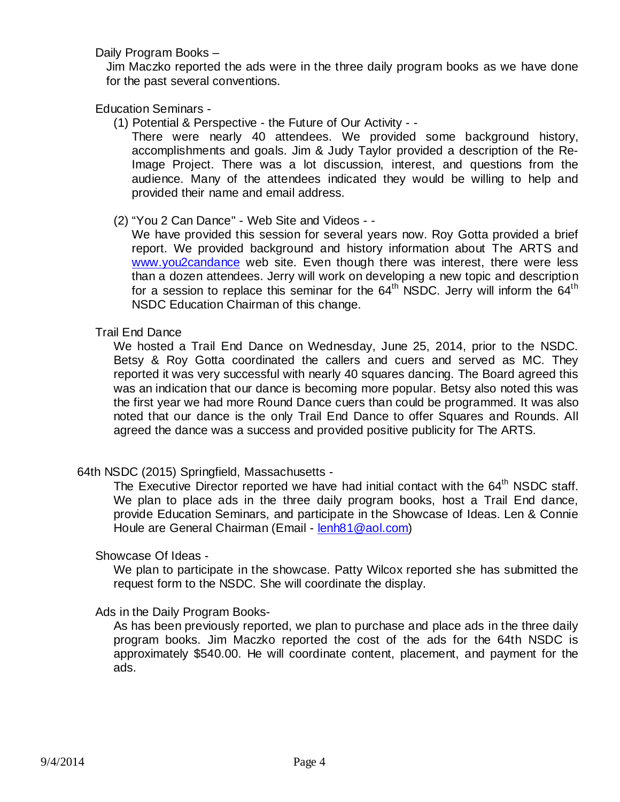Daily Program Books –

Jim Maczko reported the ads were in the three daily program books as we have done for the past several conventions.

Education Seminars -

(1) Potential & Perspective - the Future of Our Activity - -

There were nearly 40 attendees. We provided some background history, accomplishments and goals. Jim & Judy Taylor provided a description of the Re-Image Project. There was a lot discussion, interest, and questions from the audience. Many of the attendees indicated they would be willing to help and provided their name and email address.

(2) "You 2 Can Dance" - Web Site and Videos - -

We have provided this session for several years now. Roy Gotta provided a brief report. We provided background and history information about The ARTS and [www.you2candance](http://www.you2candance/) web site. Even though there was interest, there were less than a dozen attendees. Jerry will work on developing a new topic and description for a session to replace this seminar for the  $64<sup>th</sup>$  NSDC. Jerry will inform the  $64<sup>th</sup>$ NSDC Education Chairman of this change.

## Trail End Dance

We hosted a Trail End Dance on Wednesday, June 25, 2014, prior to the NSDC. Betsy & Roy Gotta coordinated the callers and cuers and served as MC. They reported it was very successful with nearly 40 squares dancing. The Board agreed this was an indication that our dance is becoming more popular. Betsy also noted this was the first year we had more Round Dance cuers than could be programmed. It was also noted that our dance is the only Trail End Dance to offer Squares and Rounds. All agreed the dance was a success and provided positive publicity for The ARTS.

## 64th NSDC (2015) Springfield, Massachusetts -

The Executive Director reported we have had initial contact with the 64<sup>th</sup> NSDC staff. We plan to place ads in the three daily program books, host a Trail End dance, provide Education Seminars, and participate in the Showcase of Ideas. Len & Connie Houle are General Chairman (Email - [lenh81@aol.com\)](mailto:lenh81@aol.com)

#### Showcase Of Ideas -

We plan to participate in the showcase. Patty Wilcox reported she has submitted the request form to the NSDC. She will coordinate the display.

#### Ads in the Daily Program Books-

As has been previously reported, we plan to purchase and place ads in the three daily program books. Jim Maczko reported the cost of the ads for the 64th NSDC is approximately \$540.00. He will coordinate content, placement, and payment for the ads.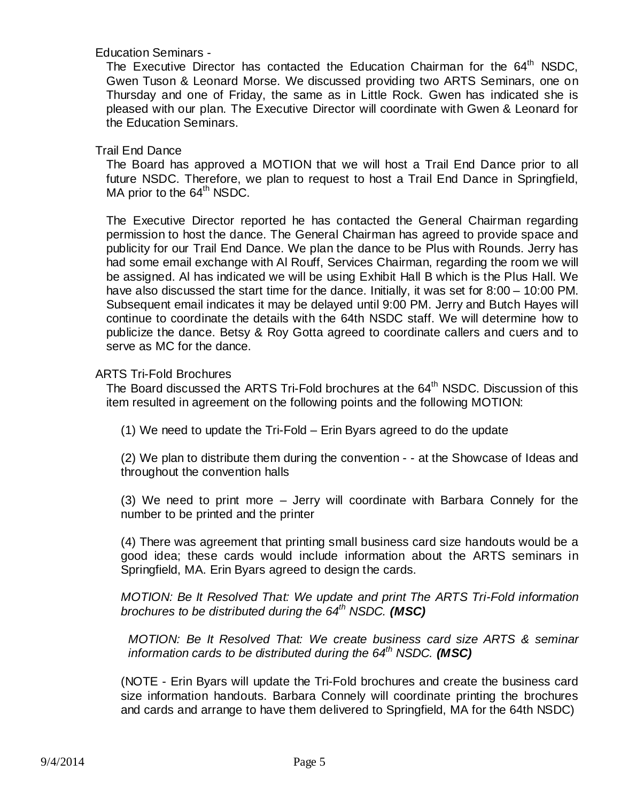## Education Seminars -

The Executive Director has contacted the Education Chairman for the 64<sup>th</sup> NSDC, Gwen Tuson & Leonard Morse. We discussed providing two ARTS Seminars, one on Thursday and one of Friday, the same as in Little Rock. Gwen has indicated she is pleased with our plan. The Executive Director will coordinate with Gwen & Leonard for the Education Seminars.

## Trail End Dance

The Board has approved a MOTION that we will host a Trail End Dance prior to all future NSDC. Therefore, we plan to request to host a Trail End Dance in Springfield, MA prior to the 64<sup>th</sup> NSDC.

The Executive Director reported he has contacted the General Chairman regarding permission to host the dance. The General Chairman has agreed to provide space and publicity for our Trail End Dance. We plan the dance to be Plus with Rounds. Jerry has had some email exchange with Al Rouff, Services Chairman, regarding the room we will be assigned. Al has indicated we will be using Exhibit Hall B which is the Plus Hall. We have also discussed the start time for the dance. Initially, it was set for 8:00 – 10:00 PM. Subsequent email indicates it may be delayed until 9:00 PM. Jerry and Butch Hayes will continue to coordinate the details with the 64th NSDC staff. We will determine how to publicize the dance. Betsy & Roy Gotta agreed to coordinate callers and cuers and to serve as MC for the dance.

## ARTS Tri-Fold Brochures

The Board discussed the ARTS Tri-Fold brochures at the 64<sup>th</sup> NSDC. Discussion of this item resulted in agreement on the following points and the following MOTION:

(1) We need to update the Tri-Fold – Erin Byars agreed to do the update

(2) We plan to distribute them during the convention - - at the Showcase of Ideas and throughout the convention halls

(3) We need to print more – Jerry will coordinate with Barbara Connely for the number to be printed and the printer

(4) There was agreement that printing small business card size handouts would be a good idea; these cards would include information about the ARTS seminars in Springfield, MA. Erin Byars agreed to design the cards.

*MOTION: Be It Resolved That: We update and print The ARTS Tri-Fold information brochures to be distributed during the 64th NSDC. (MSC)* 

*MOTION: Be It Resolved That: We create business card size ARTS & seminar information cards to be distributed during the 64th NSDC. (MSC)* 

(NOTE - Erin Byars will update the Tri-Fold brochures and create the business card size information handouts. Barbara Connely will coordinate printing the brochures and cards and arrange to have them delivered to Springfield, MA for the 64th NSDC)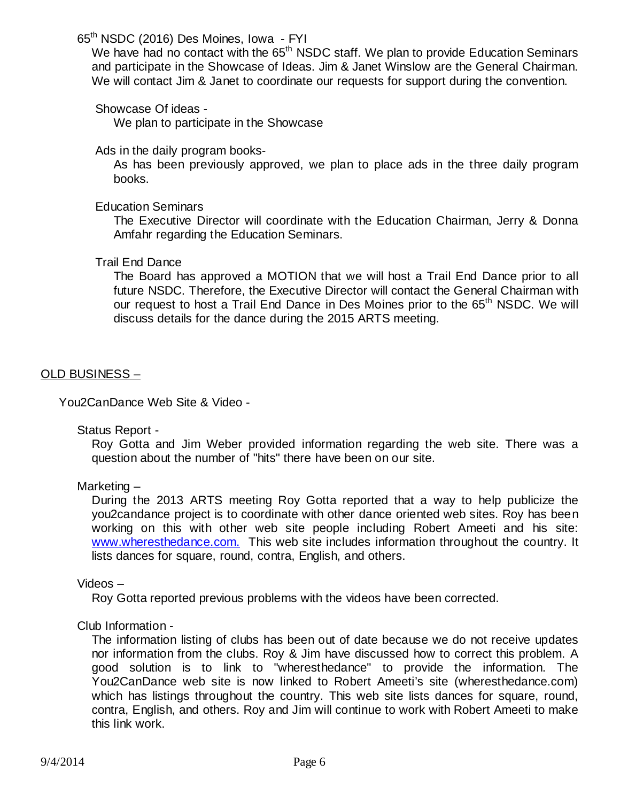65th NSDC (2016) Des Moines, Iowa - FYI

We have had no contact with the 65<sup>th</sup> NSDC staff. We plan to provide Education Seminars and participate in the Showcase of Ideas. Jim & Janet Winslow are the General Chairman. We will contact Jim & Janet to coordinate our requests for support during the convention.

Showcase Of ideas -

We plan to participate in the Showcase

Ads in the daily program books-

As has been previously approved, we plan to place ads in the three daily program books.

## Education Seminars

The Executive Director will coordinate with the Education Chairman, Jerry & Donna Amfahr regarding the Education Seminars.

## Trail End Dance

The Board has approved a MOTION that we will host a Trail End Dance prior to all future NSDC. Therefore, the Executive Director will contact the General Chairman with our request to host a Trail End Dance in Des Moines prior to the 65<sup>th</sup> NSDC. We will discuss details for the dance during the 2015 ARTS meeting.

## OLD BUSINESS –

You2CanDance Web Site & Video -

Status Report -

Roy Gotta and Jim Weber provided information regarding the web site. There was a question about the number of "hits" there have been on our site.

## Marketing –

During the 2013 ARTS meeting Roy Gotta reported that a way to help publicize the you2candance project is to coordinate with other dance oriented web sites. Roy has been working on this with other web site people including Robert Ameeti and his site: [www.wheresthedance.com.](http://www.wheresthedance.com.t/) This web site includes information throughout the country. It lists dances for square, round, contra, English, and others.

#### Videos –

Roy Gotta reported previous problems with the videos have been corrected.

## Club Information -

The information listing of clubs has been out of date because we do not receive updates nor information from the clubs. Roy & Jim have discussed how to correct this problem. A good solution is to link to "wheresthedance" to provide the information. The You2CanDance web site is now linked to Robert Ameeti's site (wheresthedance.com) which has listings throughout the country. This web site lists dances for square, round, contra, English, and others. Roy and Jim will continue to work with Robert Ameeti to make this link work.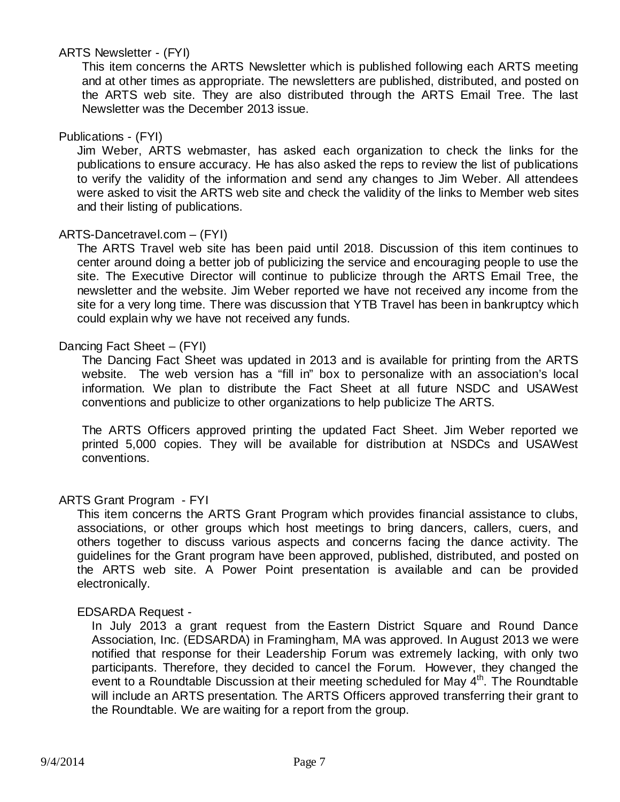## ARTS Newsletter - (FYI)

This item concerns the ARTS Newsletter which is published following each ARTS meeting and at other times as appropriate. The newsletters are published, distributed, and posted on the ARTS web site. They are also distributed through the ARTS Email Tree. The last Newsletter was the December 2013 issue.

## Publications - (FYI)

Jim Weber, ARTS webmaster, has asked each organization to check the links for the publications to ensure accuracy. He has also asked the reps to review the list of publications to verify the validity of the information and send any changes to Jim Weber. All attendees were asked to visit the ARTS web site and check the validity of the links to Member web sites and their listing of publications.

## ARTS-Dancetravel.com – (FYI)

The ARTS Travel web site has been paid until 2018. Discussion of this item continues to center around doing a better job of publicizing the service and encouraging people to use the site. The Executive Director will continue to publicize through the ARTS Email Tree, the newsletter and the website. Jim Weber reported we have not received any income from the site for a very long time. There was discussion that YTB Travel has been in bankruptcy which could explain why we have not received any funds.

## Dancing Fact Sheet – (FYI)

The Dancing Fact Sheet was updated in 2013 and is available for printing from the ARTS website. The web version has a "fill in" box to personalize with an association's local information. We plan to distribute the Fact Sheet at all future NSDC and USAWest conventions and publicize to other organizations to help publicize The ARTS.

The ARTS Officers approved printing the updated Fact Sheet. Jim Weber reported we printed 5,000 copies. They will be available for distribution at NSDCs and USAWest conventions.

## ARTS Grant Program - FYI

This item concerns the ARTS Grant Program which provides financial assistance to clubs, associations, or other groups which host meetings to bring dancers, callers, cuers, and others together to discuss various aspects and concerns facing the dance activity. The guidelines for the Grant program have been approved, published, distributed, and posted on the ARTS web site. A Power Point presentation is available and can be provided electronically.

## EDSARDA Request -

In July 2013 a grant request from the Eastern District Square and Round Dance Association, Inc. (EDSARDA) in Framingham, MA was approved. In August 2013 we were notified that response for their Leadership Forum was extremely lacking, with only two participants. Therefore, they decided to cancel the Forum. However, they changed the event to a Roundtable Discussion at their meeting scheduled for May 4<sup>th</sup>. The Roundtable will include an ARTS presentation. The ARTS Officers approved transferring their grant to the Roundtable. We are waiting for a report from the group.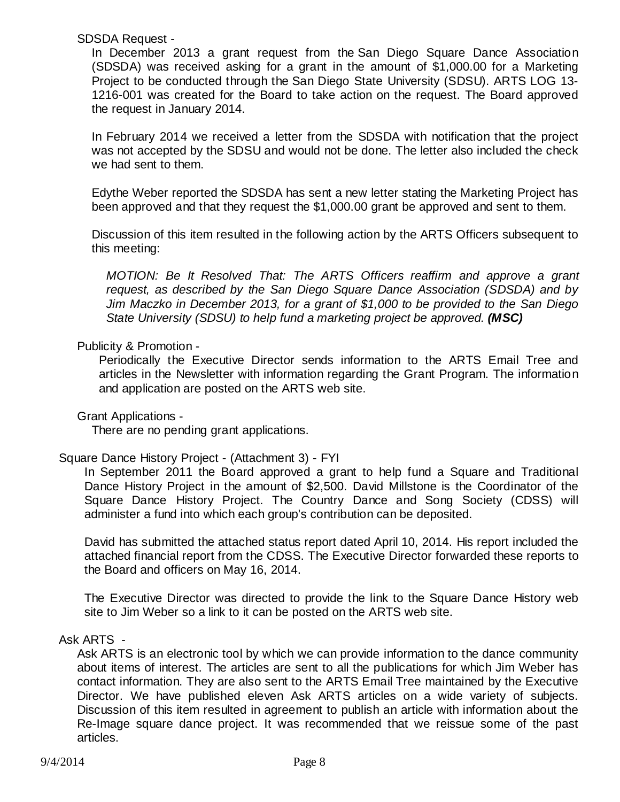SDSDA Request -

In December 2013 a grant request from the San Diego Square Dance Association (SDSDA) was received asking for a grant in the amount of \$1,000.00 for a Marketing Project to be conducted through the San Diego State University (SDSU). ARTS LOG 13- 1216-001 was created for the Board to take action on the request. The Board approved the request in January 2014.

In February 2014 we received a letter from the SDSDA with notification that the project was not accepted by the SDSU and would not be done. The letter also included the check we had sent to them.

Edythe Weber reported the SDSDA has sent a new letter stating the Marketing Project has been approved and that they request the \$1,000.00 grant be approved and sent to them.

Discussion of this item resulted in the following action by the ARTS Officers subsequent to this meeting:

*MOTION: Be It Resolved That: The ARTS Officers reaffirm and approve a grant request, as described by the San Diego Square Dance Association (SDSDA) and by Jim Maczko in December 2013, for a grant of \$1,000 to be provided to the San Diego State University (SDSU) to help fund a marketing project be approved. (MSC)*

## Publicity & Promotion -

Periodically the Executive Director sends information to the ARTS Email Tree and articles in the Newsletter with information regarding the Grant Program. The information and application are posted on the ARTS web site.

## Grant Applications -

There are no pending grant applications.

## Square Dance History Project - (Attachment 3) - FYI

In September 2011 the Board approved a grant to help fund a Square and Traditional Dance History Project in the amount of \$2,500. David Millstone is the Coordinator of the Square Dance History Project. The Country Dance and Song Society (CDSS) will administer a fund into which each group's contribution can be deposited.

David has submitted the attached status report dated April 10, 2014. His report included the attached financial report from the CDSS. The Executive Director forwarded these reports to the Board and officers on May 16, 2014.

The Executive Director was directed to provide the link to the Square Dance History web site to Jim Weber so a link to it can be posted on the ARTS web site.

## Ask ARTS -

Ask ARTS is an electronic tool by which we can provide information to the dance community about items of interest. The articles are sent to all the publications for which Jim Weber has contact information. They are also sent to the ARTS Email Tree maintained by the Executive Director. We have published eleven Ask ARTS articles on a wide variety of subjects. Discussion of this item resulted in agreement to publish an article with information about the Re-Image square dance project. It was recommended that we reissue some of the past articles.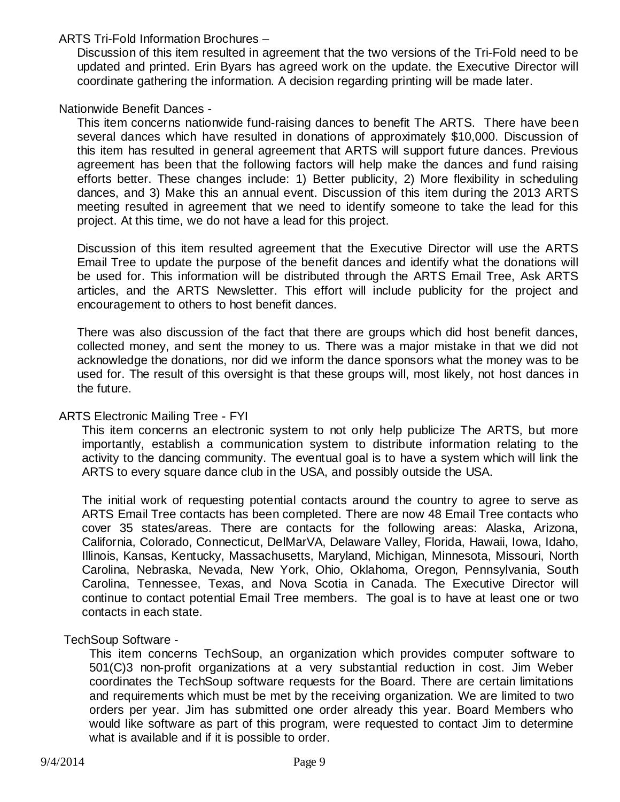ARTS Tri-Fold Information Brochures –

Discussion of this item resulted in agreement that the two versions of the Tri-Fold need to be updated and printed. Erin Byars has agreed work on the update. the Executive Director will coordinate gathering the information. A decision regarding printing will be made later.

## Nationwide Benefit Dances -

This item concerns nationwide fund-raising dances to benefit The ARTS. There have been several dances which have resulted in donations of approximately \$10,000. Discussion of this item has resulted in general agreement that ARTS will support future dances. Previous agreement has been that the following factors will help make the dances and fund raising efforts better. These changes include: 1) Better publicity, 2) More flexibility in scheduling dances, and 3) Make this an annual event. Discussion of this item during the 2013 ARTS meeting resulted in agreement that we need to identify someone to take the lead for this project. At this time, we do not have a lead for this project.

Discussion of this item resulted agreement that the Executive Director will use the ARTS Email Tree to update the purpose of the benefit dances and identify what the donations will be used for. This information will be distributed through the ARTS Email Tree, Ask ARTS articles, and the ARTS Newsletter. This effort will include publicity for the project and encouragement to others to host benefit dances.

There was also discussion of the fact that there are groups which did host benefit dances, collected money, and sent the money to us. There was a major mistake in that we did not acknowledge the donations, nor did we inform the dance sponsors what the money was to be used for. The result of this oversight is that these groups will, most likely, not host dances in the future.

#### ARTS Electronic Mailing Tree - FYI

This item concerns an electronic system to not only help publicize The ARTS, but more importantly, establish a communication system to distribute information relating to the activity to the dancing community. The eventual goal is to have a system which will link the ARTS to every square dance club in the USA, and possibly outside the USA.

The initial work of requesting potential contacts around the country to agree to serve as ARTS Email Tree contacts has been completed. There are now 48 Email Tree contacts who cover 35 states/areas. There are contacts for the following areas: Alaska, Arizona, California, Colorado, Connecticut, DelMarVA, Delaware Valley, Florida, Hawaii, Iowa, Idaho, Illinois, Kansas, Kentucky, Massachusetts, Maryland, Michigan, Minnesota, Missouri, North Carolina, Nebraska, Nevada, New York, Ohio, Oklahoma, Oregon, Pennsylvania, South Carolina, Tennessee, Texas, and Nova Scotia in Canada. The Executive Director will continue to contact potential Email Tree members. The goal is to have at least one or two contacts in each state.

## TechSoup Software -

This item concerns TechSoup, an organization which provides computer software to 501(C)3 non-profit organizations at a very substantial reduction in cost. Jim Weber coordinates the TechSoup software requests for the Board. There are certain limitations and requirements which must be met by the receiving organization. We are limited to two orders per year. Jim has submitted one order already this year. Board Members who would like software as part of this program, were requested to contact Jim to determine what is available and if it is possible to order.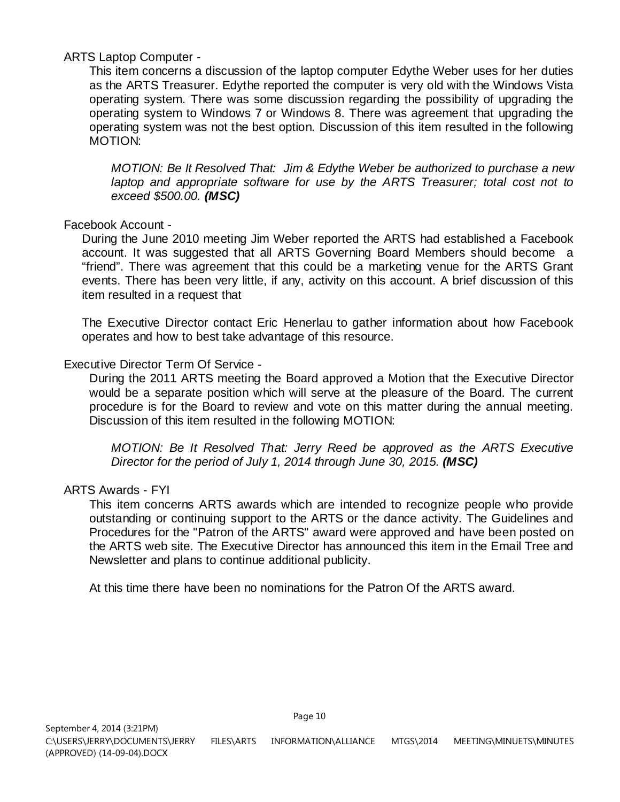## ARTS Laptop Computer -

This item concerns a discussion of the laptop computer Edythe Weber uses for her duties as the ARTS Treasurer. Edythe reported the computer is very old with the Windows Vista operating system. There was some discussion regarding the possibility of upgrading the operating system to Windows 7 or Windows 8. There was agreement that upgrading the operating system was not the best option. Discussion of this item resulted in the following MOTION:

*MOTION: Be It Resolved That: Jim & Edythe Weber be authorized to purchase a new laptop and appropriate software for use by the ARTS Treasurer; total cost not to exceed \$500.00. (MSC)*

## Facebook Account -

During the June 2010 meeting Jim Weber reported the ARTS had established a Facebook account. It was suggested that all ARTS Governing Board Members should become a "friend". There was agreement that this could be a marketing venue for the ARTS Grant events. There has been very little, if any, activity on this account. A brief discussion of this item resulted in a request that

The Executive Director contact Eric Henerlau to gather information about how Facebook operates and how to best take advantage of this resource.

## Executive Director Term Of Service -

During the 2011 ARTS meeting the Board approved a Motion that the Executive Director would be a separate position which will serve at the pleasure of the Board. The current procedure is for the Board to review and vote on this matter during the annual meeting. Discussion of this item resulted in the following MOTION:

*MOTION: Be It Resolved That: Jerry Reed be approved as the ARTS Executive Director for the period of July 1, 2014 through June 30, 2015. (MSC)*

## ARTS Awards - FYI

This item concerns ARTS awards which are intended to recognize people who provide outstanding or continuing support to the ARTS or the dance activity. The Guidelines and Procedures for the "Patron of the ARTS" award were approved and have been posted on the ARTS web site. The Executive Director has announced this item in the Email Tree and Newsletter and plans to continue additional publicity.

At this time there have been no nominations for the Patron Of the ARTS award.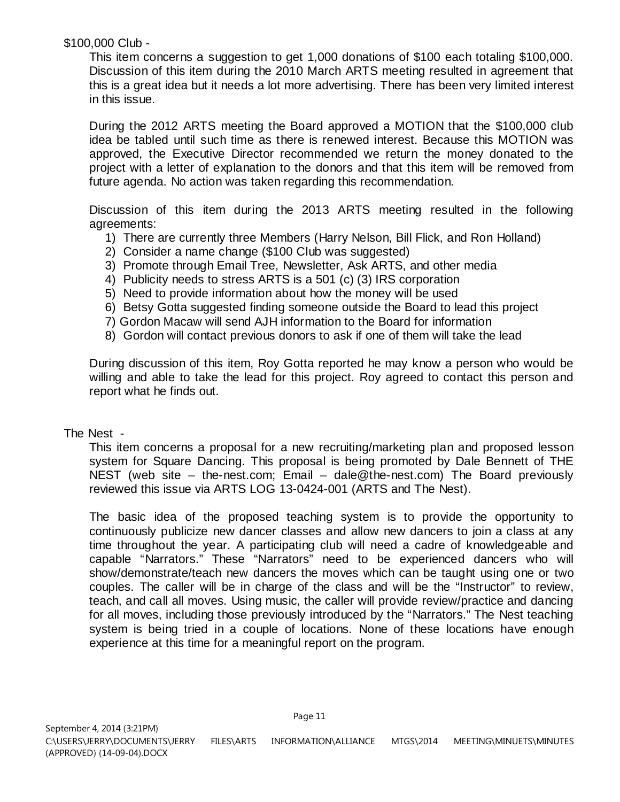\$100,000 Club -

This item concerns a suggestion to get 1,000 donations of \$100 each totaling \$100,000. Discussion of this item during the 2010 March ARTS meeting resulted in agreement that this is a great idea but it needs a lot more advertising. There has been very limited interest in this issue.

During the 2012 ARTS meeting the Board approved a MOTION that the \$100,000 club idea be tabled until such time as there is renewed interest. Because this MOTION was approved, the Executive Director recommended we return the money donated to the project with a letter of explanation to the donors and that this item will be removed from future agenda. No action was taken regarding this recommendation.

Discussion of this item during the 2013 ARTS meeting resulted in the following agreements:

- 1) There are currently three Members (Harry Nelson, Bill Flick, and Ron Holland)
- 2) Consider a name change (\$100 Club was suggested)
- 3) Promote through Email Tree, Newsletter, Ask ARTS, and other media
- 4) Publicity needs to stress ARTS is a 501 (c) (3) IRS corporation
- 5) Need to provide information about how the money will be used
- 6) Betsy Gotta suggested finding someone outside the Board to lead this project
- 7) Gordon Macaw will send AJH information to the Board for information
- 8) Gordon will contact previous donors to ask if one of them will take the lead

During discussion of this item, Roy Gotta reported he may know a person who would be willing and able to take the lead for this project. Roy agreed to contact this person and report what he finds out.

#### The Nest -

This item concerns a proposal for a new recruiting/marketing plan and proposed lesson system for Square Dancing. This proposal is being promoted by Dale Bennett of THE NEST (web site – the-nest.com; Email – dale@the-nest.com) The Board previously reviewed this issue via ARTS LOG 13-0424-001 (ARTS and The Nest).

The basic idea of the proposed teaching system is to provide the opportunity to continuously publicize new dancer classes and allow new dancers to join a class at any time throughout the year. A participating club will need a cadre of knowledgeable and capable "Narrators." These "Narrators" need to be experienced dancers who will show/demonstrate/teach new dancers the moves which can be taught using one or two couples. The caller will be in charge of the class and will be the "Instructor" to review, teach, and call all moves. Using music, the caller will provide review/practice and dancing for all moves, including those previously introduced by the "Narrators." The Nest teaching system is being tried in a couple of locations. None of these locations have enough experience at this time for a meaningful report on the program.

Page 11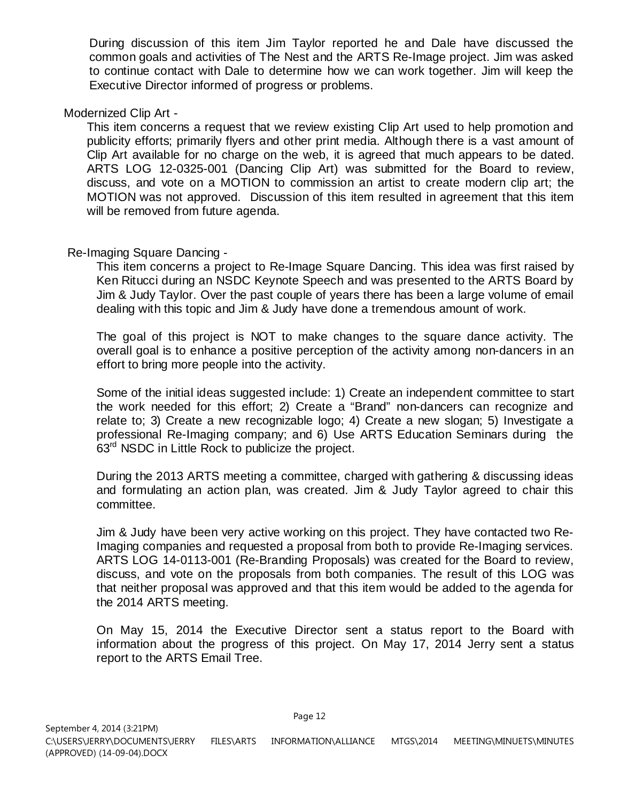During discussion of this item Jim Taylor reported he and Dale have discussed the common goals and activities of The Nest and the ARTS Re-Image project. Jim was asked to continue contact with Dale to determine how we can work together. Jim will keep the Executive Director informed of progress or problems.

## Modernized Clip Art -

This item concerns a request that we review existing Clip Art used to help promotion and publicity efforts; primarily flyers and other print media. Although there is a vast amount of Clip Art available for no charge on the web, it is agreed that much appears to be dated. ARTS LOG 12-0325-001 (Dancing Clip Art) was submitted for the Board to review, discuss, and vote on a MOTION to commission an artist to create modern clip art; the MOTION was not approved. Discussion of this item resulted in agreement that this item will be removed from future agenda.

## Re-Imaging Square Dancing -

This item concerns a project to Re-Image Square Dancing. This idea was first raised by Ken Ritucci during an NSDC Keynote Speech and was presented to the ARTS Board by Jim & Judy Taylor. Over the past couple of years there has been a large volume of email dealing with this topic and Jim & Judy have done a tremendous amount of work.

The goal of this project is NOT to make changes to the square dance activity. The overall goal is to enhance a positive perception of the activity among non-dancers in an effort to bring more people into the activity.

Some of the initial ideas suggested include: 1) Create an independent committee to start the work needed for this effort; 2) Create a "Brand" non-dancers can recognize and relate to; 3) Create a new recognizable logo; 4) Create a new slogan; 5) Investigate a professional Re-Imaging company; and 6) Use ARTS Education Seminars during the 63<sup>rd</sup> NSDC in Little Rock to publicize the project.

During the 2013 ARTS meeting a committee, charged with gathering & discussing ideas and formulating an action plan, was created. Jim & Judy Taylor agreed to chair this committee.

Jim & Judy have been very active working on this project. They have contacted two Re-Imaging companies and requested a proposal from both to provide Re-Imaging services. ARTS LOG 14-0113-001 (Re-Branding Proposals) was created for the Board to review, discuss, and vote on the proposals from both companies. The result of this LOG was that neither proposal was approved and that this item would be added to the agenda for the 2014 ARTS meeting.

On May 15, 2014 the Executive Director sent a status report to the Board with information about the progress of this project. On May 17, 2014 Jerry sent a status report to the ARTS Email Tree.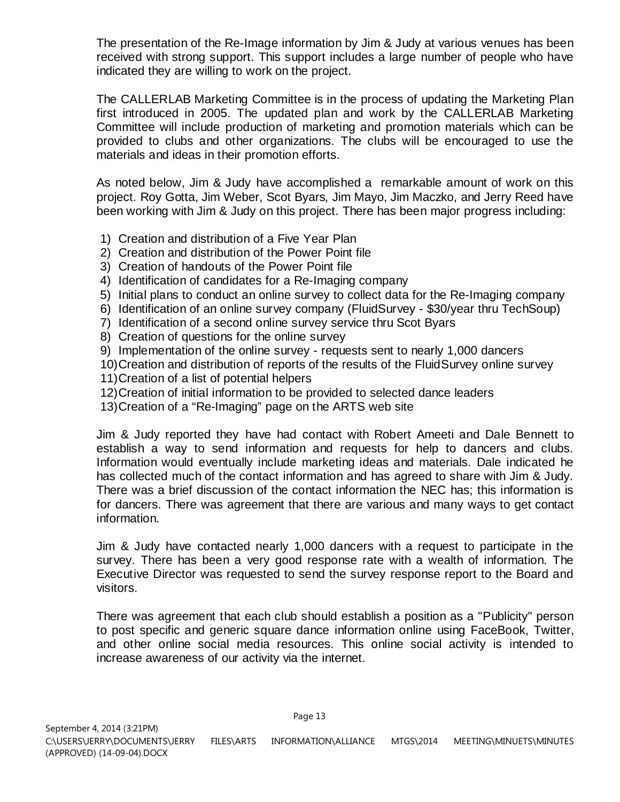The presentation of the Re-Image information by Jim & Judy at various venues has been received with strong support. This support includes a large number of people who have indicated they are willing to work on the project.

The CALLERLAB Marketing Committee is in the process of updating the Marketing Plan first introduced in 2005. The updated plan and work by the CALLERLAB Marketing Committee will include production of marketing and promotion materials which can be provided to clubs and other organizations. The clubs will be encouraged to use the materials and ideas in their promotion efforts.

As noted below, Jim & Judy have accomplished a remarkable amount of work on this project. Roy Gotta, Jim Weber, Scot Byars, Jim Mayo, Jim Maczko, and Jerry Reed have been working with Jim & Judy on this project. There has been major progress including:

- 1) Creation and distribution of a Five Year Plan
- 2) Creation and distribution of the Power Point file
- 3) Creation of handouts of the Power Point file
- 4) Identification of candidates for a Re-Imaging company
- 5) Initial plans to conduct an online survey to collect data for the Re-Imaging company
- 6) Identification of an online survey company (FluidSurvey \$30/year thru TechSoup)
- 7) Identification of a second online survey service thru Scot Byars
- 8) Creation of questions for the online survey
- 9) Implementation of the online survey requests sent to nearly 1,000 dancers
- 10)Creation and distribution of reports of the results of the FluidSurvey online survey
- 11)Creation of a list of potential helpers
- 12)Creation of initial information to be provided to selected dance leaders
- 13)Creation of a "Re-Imaging" page on the ARTS web site

Jim & Judy reported they have had contact with Robert Ameeti and Dale Bennett to establish a way to send information and requests for help to dancers and clubs. Information would eventually include marketing ideas and materials. Dale indicated he has collected much of the contact information and has agreed to share with Jim & Judy. There was a brief discussion of the contact information the NEC has; this information is for dancers. There was agreement that there are various and many ways to get contact information.

Jim & Judy have contacted nearly 1,000 dancers with a request to participate in the survey. There has been a very good response rate with a wealth of information. The Executive Director was requested to send the survey response report to the Board and visitors.

There was agreement that each club should establish a position as a "Publicity" person to post specific and generic square dance information online using FaceBook, Twitter, and other online social media resources. This online social activity is intended to increase awareness of our activity via the internet.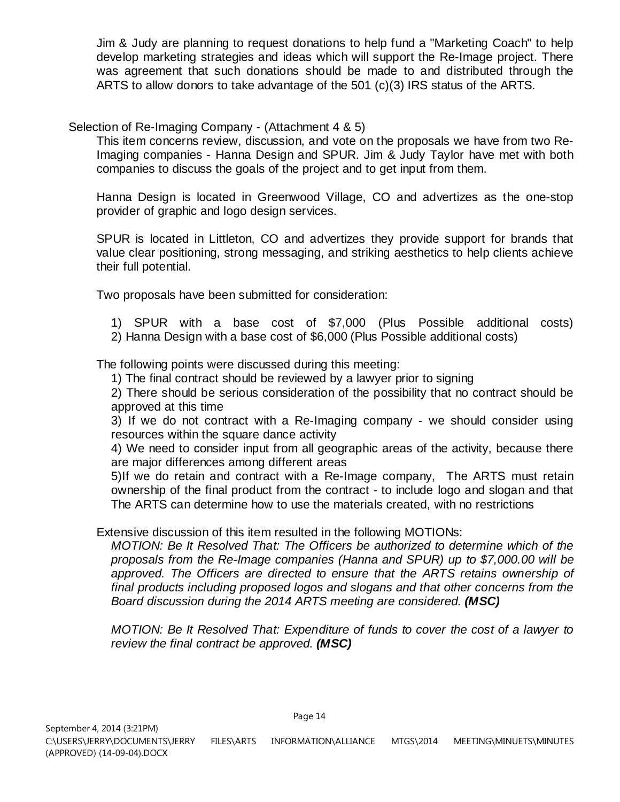Jim & Judy are planning to request donations to help fund a "Marketing Coach" to help develop marketing strategies and ideas which will support the Re-Image project. There was agreement that such donations should be made to and distributed through the ARTS to allow donors to take advantage of the 501 (c)(3) IRS status of the ARTS.

Selection of Re-Imaging Company - (Attachment 4 & 5)

This item concerns review, discussion, and vote on the proposals we have from two Re-Imaging companies - Hanna Design and SPUR. Jim & Judy Taylor have met with both companies to discuss the goals of the project and to get input from them.

Hanna Design is located in Greenwood Village, CO and advertizes as the one-stop provider of graphic and logo design services.

SPUR is located in Littleton, CO and advertizes they provide support for brands that value clear positioning, strong messaging, and striking aesthetics to help clients achieve their full potential.

Two proposals have been submitted for consideration:

- 1) SPUR with a base cost of \$7,000 (Plus Possible additional costs)
- 2) Hanna Design with a base cost of \$6,000 (Plus Possible additional costs)

The following points were discussed during this meeting:

1) The final contract should be reviewed by a lawyer prior to signing

2) There should be serious consideration of the possibility that no contract should be approved at this time

3) If we do not contract with a Re-Imaging company - we should consider using resources within the square dance activity

4) We need to consider input from all geographic areas of the activity, because there are major differences among different areas

5)If we do retain and contract with a Re-Image company, The ARTS must retain ownership of the final product from the contract - to include logo and slogan and that The ARTS can determine how to use the materials created, with no restrictions

Extensive discussion of this item resulted in the following MOTIONs:

*MOTION: Be It Resolved That: The Officers be authorized to determine which of the proposals from the Re-Image companies (Hanna and SPUR) up to \$7,000.00 will be approved. The Officers are directed to ensure that the ARTS retains ownership of final products including proposed logos and slogans and that other concerns from the Board discussion during the 2014 ARTS meeting are considered. (MSC)*

*MOTION: Be It Resolved That: Expenditure of funds to cover the cost of a lawyer to review the final contract be approved. (MSC)*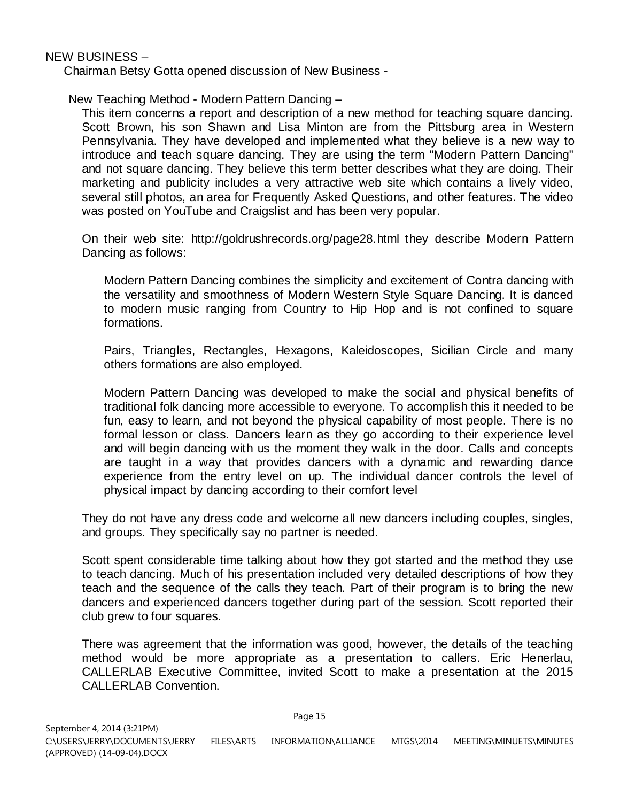NEW BUSINESS –

Chairman Betsy Gotta opened discussion of New Business -

New Teaching Method - Modern Pattern Dancing –

This item concerns a report and description of a new method for teaching square dancing. Scott Brown, his son Shawn and Lisa Minton are from the Pittsburg area in Western Pennsylvania. They have developed and implemented what they believe is a new way to introduce and teach square dancing. They are using the term "Modern Pattern Dancing" and not square dancing. They believe this term better describes what they are doing. Their marketing and publicity includes a very attractive web site which contains a lively video, several still photos, an area for Frequently Asked Questions, and other features. The video was posted on YouTube and Craigslist and has been very popular.

On their web site: http://goldrushrecords.org/page28.html they describe Modern Pattern Dancing as follows:

Modern Pattern Dancing combines the simplicity and excitement of Contra dancing with the versatility and smoothness of Modern Western Style Square Dancing. It is danced to modern music ranging from Country to Hip Hop and is not confined to square formations.

Pairs, Triangles, Rectangles, Hexagons, Kaleidoscopes, Sicilian Circle and many others formations are also employed.

Modern Pattern Dancing was developed to make the social and physical benefits of traditional folk dancing more accessible to everyone. To accomplish this it needed to be fun, easy to learn, and not beyond the physical capability of most people. There is no formal lesson or class. Dancers learn as they go according to their experience level and will begin dancing with us the moment they walk in the door. Calls and concepts are taught in a way that provides dancers with a dynamic and rewarding dance experience from the entry level on up. The individual dancer controls the level of physical impact by dancing according to their comfort level

They do not have any dress code and welcome all new dancers including couples, singles, and groups. They specifically say no partner is needed.

Scott spent considerable time talking about how they got started and the method they use to teach dancing. Much of his presentation included very detailed descriptions of how they teach and the sequence of the calls they teach. Part of their program is to bring the new dancers and experienced dancers together during part of the session. Scott reported their club grew to four squares.

There was agreement that the information was good, however, the details of the teaching method would be more appropriate as a presentation to callers. Eric Henerlau, CALLERLAB Executive Committee, invited Scott to make a presentation at the 2015 CALLERLAB Convention.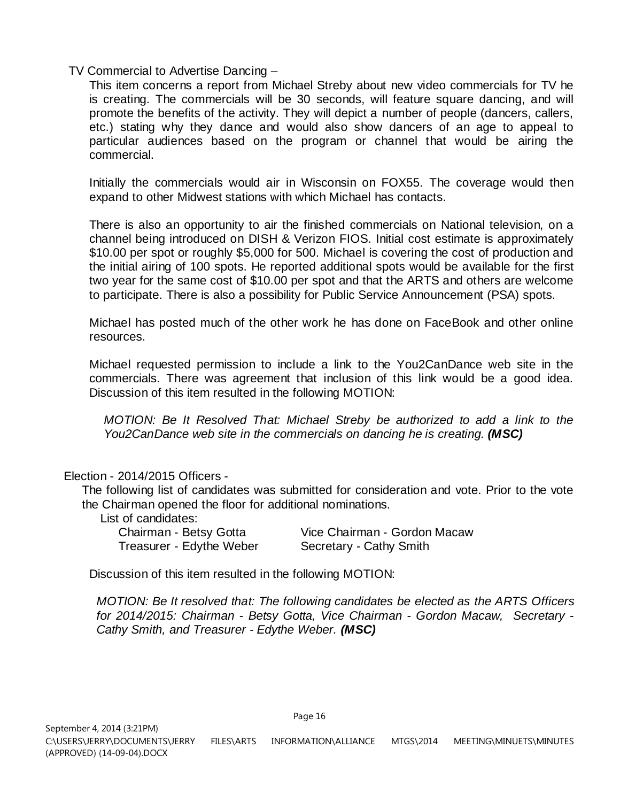TV Commercial to Advertise Dancing –

This item concerns a report from Michael Streby about new video commercials for TV he is creating. The commercials will be 30 seconds, will feature square dancing, and will promote the benefits of the activity. They will depict a number of people (dancers, callers, etc.) stating why they dance and would also show dancers of an age to appeal to particular audiences based on the program or channel that would be airing the commercial.

Initially the commercials would air in Wisconsin on FOX55. The coverage would then expand to other Midwest stations with which Michael has contacts.

There is also an opportunity to air the finished commercials on National television, on a channel being introduced on DISH & Verizon FIOS. Initial cost estimate is approximately \$10.00 per spot or roughly \$5,000 for 500. Michael is covering the cost of production and the initial airing of 100 spots. He reported additional spots would be available for the first two year for the same cost of \$10.00 per spot and that the ARTS and others are welcome to participate. There is also a possibility for Public Service Announcement (PSA) spots.

Michael has posted much of the other work he has done on FaceBook and other online resources.

Michael requested permission to include a link to the You2CanDance web site in the commercials. There was agreement that inclusion of this link would be a good idea. Discussion of this item resulted in the following MOTION:

*MOTION: Be It Resolved That: Michael Streby be authorized to add a link to the You2CanDance web site in the commercials on dancing he is creating. (MSC)*

Election - 2014/2015 Officers -

The following list of candidates was submitted for consideration and vote. Prior to the vote the Chairman opened the floor for additional nominations.

List of candidates:

Chairman - Betsy Gotta Vice Chairman - Gordon Macaw Treasurer - Edythe Weber Secretary - Cathy Smith

Discussion of this item resulted in the following MOTION:

*MOTION: Be It resolved that: The following candidates be elected as the ARTS Officers for 2014/2015: Chairman - Betsy Gotta, Vice Chairman - Gordon Macaw, Secretary - Cathy Smith, and Treasurer - Edythe Weber. (MSC)*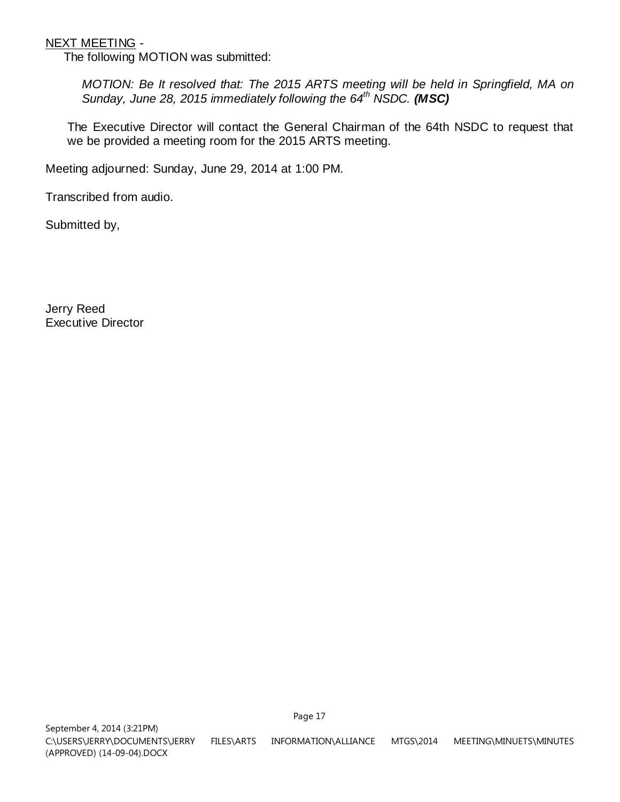## NEXT MEETING -

The following MOTION was submitted:

*MOTION: Be It resolved that: The 2015 ARTS meeting will be held in Springfield, MA on Sunday, June 28, 2015 immediately following the 64th NSDC. (MSC)* 

The Executive Director will contact the General Chairman of the 64th NSDC to request that we be provided a meeting room for the 2015 ARTS meeting.

Meeting adjourned: Sunday, June 29, 2014 at 1:00 PM.

Transcribed from audio.

Submitted by,

Jerry Reed Executive Director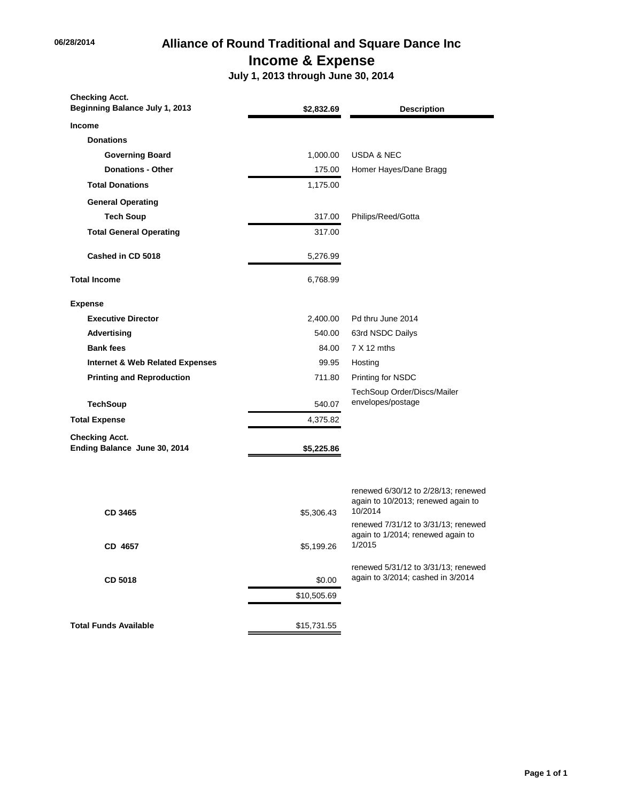# **06/28/2014 Alliance of Round Traditional and Square Dance Inc Income & Expense**

 **July 1, 2013 through June 30, 2014**

| <b>Checking Acct.</b><br>Beginning Balance July 1, 2013 | \$2,832.69            | <b>Description</b>                                                                   |
|---------------------------------------------------------|-----------------------|--------------------------------------------------------------------------------------|
| <b>Income</b>                                           |                       |                                                                                      |
| <b>Donations</b>                                        |                       |                                                                                      |
| <b>Governing Board</b>                                  | 1,000.00              | <b>USDA &amp; NEC</b>                                                                |
| <b>Donations - Other</b>                                | 175.00                | Homer Hayes/Dane Bragg                                                               |
| <b>Total Donations</b>                                  | 1,175.00              |                                                                                      |
| <b>General Operating</b>                                |                       |                                                                                      |
| <b>Tech Soup</b>                                        | 317.00                | Philips/Reed/Gotta                                                                   |
| <b>Total General Operating</b>                          | 317.00                |                                                                                      |
| Cashed in CD 5018                                       | 5,276.99              |                                                                                      |
| <b>Total Income</b>                                     | 6,768.99              |                                                                                      |
| <b>Expense</b>                                          |                       |                                                                                      |
| <b>Executive Director</b>                               | 2,400.00              | Pd thru June 2014                                                                    |
| Advertising                                             | 540.00                | 63rd NSDC Dailys                                                                     |
| <b>Bank fees</b>                                        | 84.00                 | $7 X 12$ mths                                                                        |
| <b>Internet &amp; Web Related Expenses</b>              | 99.95                 | Hosting                                                                              |
| <b>Printing and Reproduction</b>                        | 711.80                | Printing for NSDC                                                                    |
|                                                         |                       | TechSoup Order/Discs/Mailer                                                          |
| <b>TechSoup</b>                                         | 540.07                | envelopes/postage                                                                    |
| <b>Total Expense</b>                                    | 4,375.82              |                                                                                      |
| <b>Checking Acct.</b><br>Ending Balance June 30, 2014   | \$5,225.86            |                                                                                      |
| CD 3465                                                 | \$5,306.43            | renewed 6/30/12 to 2/28/13; renewed<br>again to 10/2013; renewed again to<br>10/2014 |
| CD 4657                                                 | \$5,199.26            | renewed 7/31/12 to 3/31/13; renewed<br>again to 1/2014; renewed again to<br>1/2015   |
| CD 5018                                                 | \$0.00<br>\$10,505.69 | renewed 5/31/12 to 3/31/13; renewed<br>again to 3/2014; cashed in 3/2014             |
|                                                         |                       |                                                                                      |
| <b>Total Funds Available</b>                            | \$15,731.55           |                                                                                      |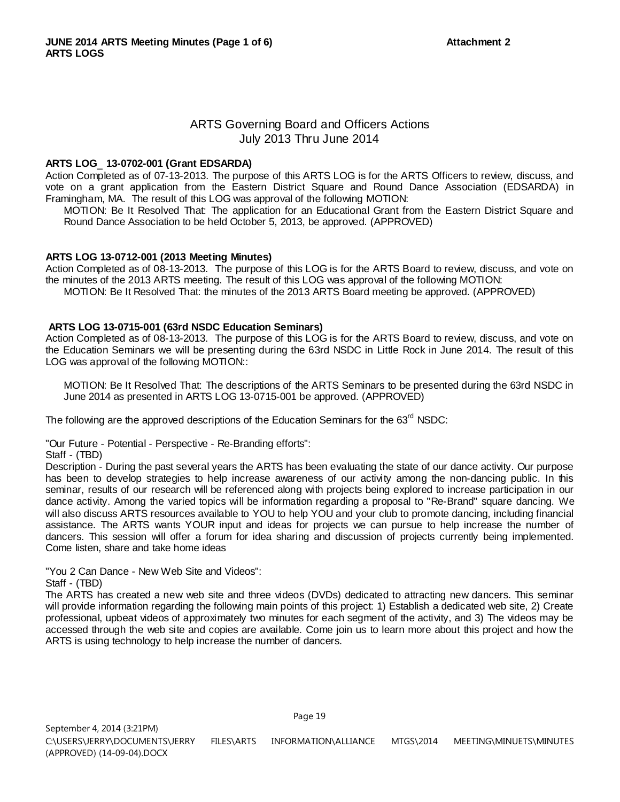## ARTS Governing Board and Officers Actions July 2013 Thru June 2014

#### **ARTS LOG**\_ **13-0702-001 (Grant EDSARDA)**

Action Completed as of 07-13-2013. The purpose of this ARTS LOG is for the ARTS Officers to review, discuss, and vote on a grant application from the Eastern District Square and Round Dance Association (EDSARDA) in Framingham, MA. The result of this LOG was approval of the following MOTION:

MOTION: Be It Resolved That: The application for an Educational Grant from the Eastern District Square and Round Dance Association to be held October 5, 2013, be approved. (APPROVED)

#### **ARTS LOG 13-0712-001 (2013 Meeting Minutes)**

Action Completed as of 08-13-2013. The purpose of this LOG is for the ARTS Board to review, discuss, and vote on the minutes of the 2013 ARTS meeting. The result of this LOG was approval of the following MOTION: MOTION: Be It Resolved That: the minutes of the 2013 ARTS Board meeting be approved. (APPROVED)

## **ARTS LOG 13-0715-001 (63rd NSDC Education Seminars)**

Action Completed as of 08-13-2013. The purpose of this LOG is for the ARTS Board to review, discuss, and vote on the Education Seminars we will be presenting during the 63rd NSDC in Little Rock in June 2014. The result of this LOG was approval of the following MOTION::

MOTION: Be It Resolved That: The descriptions of the ARTS Seminars to be presented during the 63rd NSDC in June 2014 as presented in ARTS LOG 13-0715-001 be approved. (APPROVED)

The following are the approved descriptions of the Education Seminars for the 63<sup>rd</sup> NSDC:

"Our Future - Potential - Perspective - Re-Branding efforts":

Staff - (TBD)

Description - During the past several years the ARTS has been evaluating the state of our dance activity. Our purpose has been to develop strategies to help increase awareness of our activity among the non-dancing public. In this seminar, results of our research will be referenced along with projects being explored to increase participation in our dance activity. Among the varied topics will be information regarding a proposal to "Re-Brand" square dancing. We will also discuss ARTS resources available to YOU to help YOU and your club to promote dancing, including financial assistance. The ARTS wants YOUR input and ideas for projects we can pursue to help increase the number of dancers. This session will offer a forum for idea sharing and discussion of projects currently being implemented. Come listen, share and take home ideas

"You 2 Can Dance - New Web Site and Videos":

#### Staff - (TBD)

The ARTS has created a new web site and three videos (DVDs) dedicated to attracting new dancers. This seminar will provide information regarding the following main points of this project: 1) Establish a dedicated web site, 2) Create professional, upbeat videos of approximately two minutes for each segment of the activity, and 3) The videos may be accessed through the web site and copies are available. Come join us to learn more about this project and how the ARTS is using technology to help increase the number of dancers.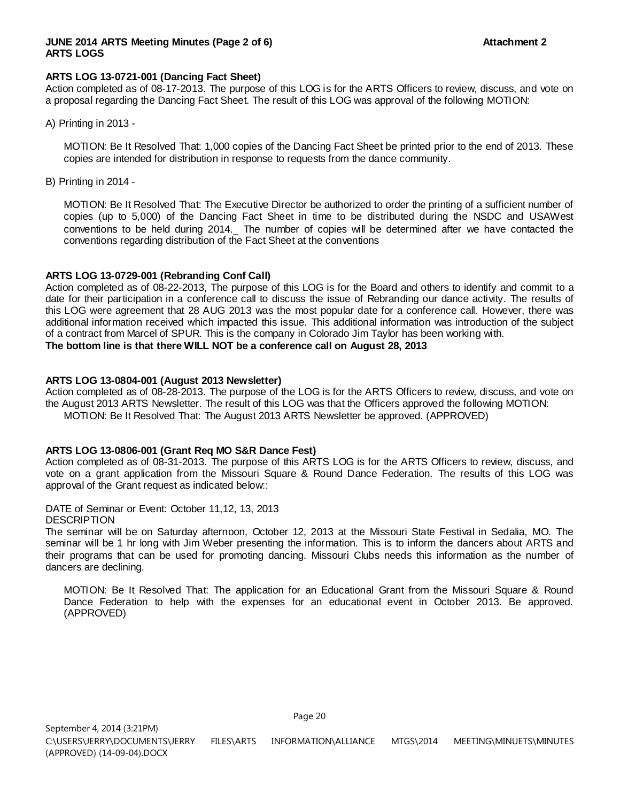#### **JUNE 2014 ARTS Meeting Minutes (Page 2 of 6) Attachment 2 Attachment 2 ARTS LOGS**

#### **ARTS LOG 13-0721-001 (Dancing Fact Sheet)**

Action completed as of 08-17-2013. The purpose of this LOG is for the ARTS Officers to review, discuss, and vote on a proposal regarding the Dancing Fact Sheet. The result of this LOG was approval of the following MOTION:

A) Printing in 2013 -

MOTION: Be It Resolved That: 1,000 copies of the Dancing Fact Sheet be printed prior to the end of 2013. These copies are intended for distribution in response to requests from the dance community.

B) Printing in 2014 -

MOTION: Be It Resolved That: The Executive Director be authorized to order the printing of a sufficient number of copies (up to 5,000) of the Dancing Fact Sheet in time to be distributed during the NSDC and USAWest conventions to be held during 2014. The number of copies will be determined after we have contacted the conventions regarding distribution of the Fact Sheet at the conventions

#### **ARTS LOG 13-0729-001 (Rebranding Conf Call)**

Action completed as of 08-22-2013, The purpose of this LOG is for the Board and others to identify and commit to a date for their participation in a conference call to discuss the issue of Rebranding our dance activity. The results of this LOG were agreement that 28 AUG 2013 was the most popular date for a conference call. However, there was additional information received which impacted this issue. This additional information was introduction of the subject of a contract from Marcel of SPUR. This is the company in Colorado Jim Taylor has been working with. **The bottom line is that there WILL NOT be a conference call on August 28, 2013**

#### **ARTS LOG 13-0804-001 (August 2013 Newsletter)**

Action completed as of 08-28-2013. The purpose of the LOG is for the ARTS Officers to review, discuss, and vote on the August 2013 ARTS Newsletter. The result of this LOG was that the Officers approved the following MOTION: MOTION: Be It Resolved That: The August 2013 ARTS Newsletter be approved. (APPROVED)

#### **ARTS LOG 13-0806-001 (Grant Req MO S&R Dance Fest)**

Action completed as of 08-31-2013. The purpose of this ARTS LOG is for the ARTS Officers to review, discuss, and vote on a grant application from the Missouri Square & Round Dance Federation. The results of this LOG was approval of the Grant request as indicated below::

DATE of Seminar or Event: October 11,12, 13, 2013

DESCRIPTION

The seminar will be on Saturday afternoon, October 12, 2013 at the Missouri State Festival in Sedalia, MO. The seminar will be 1 hr long with Jim Weber presenting the information. This is to inform the dancers about ARTS and their programs that can be used for promoting dancing. Missouri Clubs needs this information as the number of dancers are declining.

MOTION: Be It Resolved That: The application for an Educational Grant from the Missouri Square & Round Dance Federation to help with the expenses for an educational event in October 2013. Be approved. (APPROVED)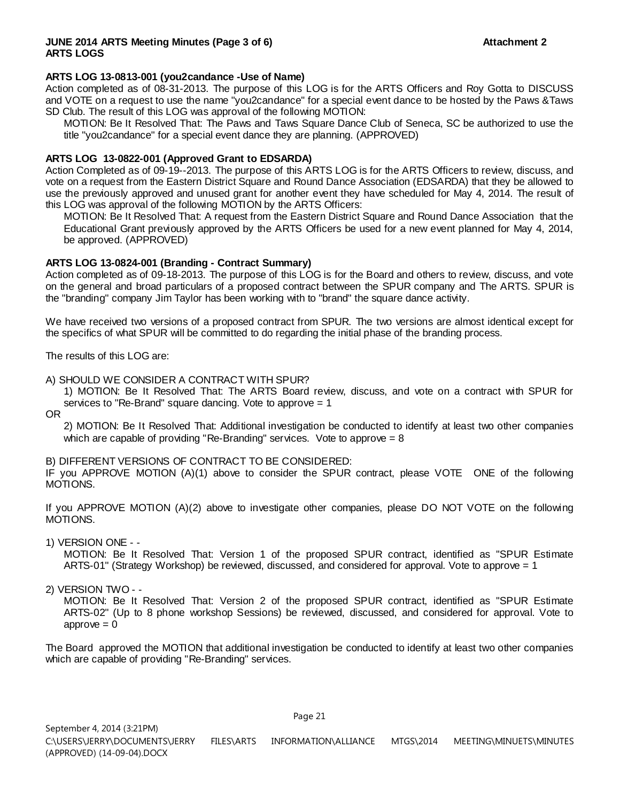#### **JUNE 2014 ARTS Meeting Minutes (Page 3 of 6) Attachment 2 Attachment 2 ARTS LOGS**

#### **ARTS LOG 13-0813-001 (you2candance -Use of Name)**

Action completed as of 08-31-2013. The purpose of this LOG is for the ARTS Officers and Roy Gotta to DISCUSS and VOTE on a request to use the name "you2candance" for a special event dance to be hosted by the Paws &Taws SD Club. The result of this LOG was approval of the following MOTION:

MOTION: Be It Resolved That: The Paws and Taws Square Dance Club of Seneca, SC be authorized to use the title "you2candance" for a special event dance they are planning. (APPROVED)

#### **ARTS LOG 13-0822-001 (Approved Grant to EDSARDA)**

Action Completed as of 09-19--2013. The purpose of this ARTS LOG is for the ARTS Officers to review, discuss, and vote on a request from the Eastern District Square and Round Dance Association (EDSARDA) that they be allowed to use the previously approved and unused grant for another event they have scheduled for May 4, 2014. The result of this LOG was approval of the following MOTION by the ARTS Officers:

MOTION: Be It Resolved That: A request from the Eastern District Square and Round Dance Association that the Educational Grant previously approved by the ARTS Officers be used for a new event planned for May 4, 2014, be approved. (APPROVED)

#### **ARTS LOG 13-0824-001 (Branding - Contract Summary)**

Action completed as of 09-18-2013. The purpose of this LOG is for the Board and others to review, discuss, and vote on the general and broad particulars of a proposed contract between the SPUR company and The ARTS. SPUR is the "branding" company Jim Taylor has been working with to "brand" the square dance activity.

We have received two versions of a proposed contract from SPUR. The two versions are almost identical except for the specifics of what SPUR will be committed to do regarding the initial phase of the branding process.

The results of this LOG are:

#### A) SHOULD WE CONSIDER A CONTRACT WITH SPUR?

1) MOTION: Be It Resolved That: The ARTS Board review, discuss, and vote on a contract with SPUR for services to "Re-Brand" square dancing. Vote to approve = 1

OR

2) MOTION: Be It Resolved That: Additional investigation be conducted to identify at least two other companies which are capable of providing "Re-Branding" services. Vote to approve  $= 8$ 

B) DIFFERENT VERSIONS OF CONTRACT TO BE CONSIDERED:

IF you APPROVE MOTION (A)(1) above to consider the SPUR contract, please VOTE ONE of the following MOTIONS.

If you APPROVE MOTION (A)(2) above to investigate other companies, please DO NOT VOTE on the following MOTIONS.

1) VERSION ONE - -

MOTION: Be It Resolved That: Version 1 of the proposed SPUR contract, identified as "SPUR Estimate ARTS-01" (Strategy Workshop) be reviewed, discussed, and considered for approval. Vote to approve = 1

2) VERSION TWO - -

MOTION: Be It Resolved That: Version 2 of the proposed SPUR contract, identified as "SPUR Estimate ARTS-02" (Up to 8 phone workshop Sessions) be reviewed, discussed, and considered for approval. Vote to  $approve = 0$ 

The Board approved the MOTION that additional investigation be conducted to identify at least two other companies which are capable of providing "Re-Branding" services.

Page 21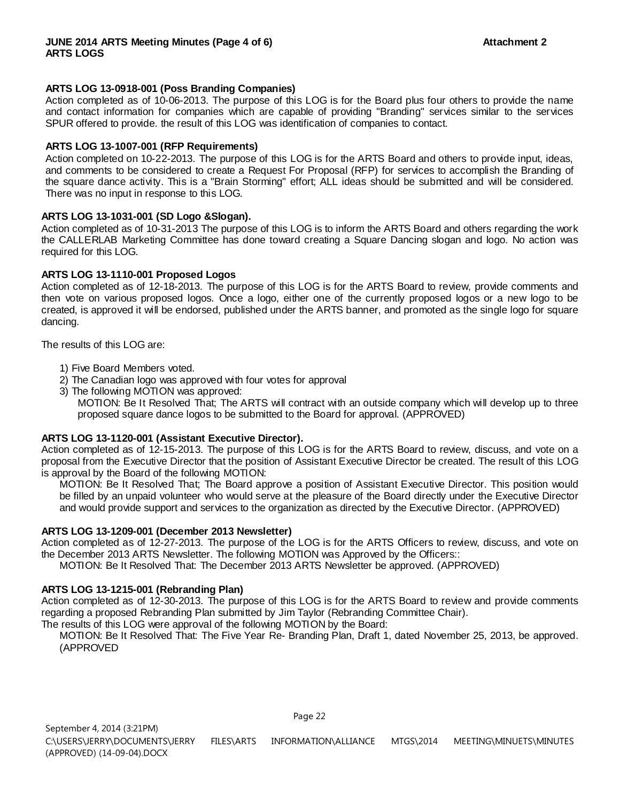#### **ARTS LOG 13-0918-001 (Poss Branding Companies)**

Action completed as of 10-06-2013. The purpose of this LOG is for the Board plus four others to provide the name and contact information for companies which are capable of providing "Branding" services similar to the services SPUR offered to provide. the result of this LOG was identification of companies to contact.

#### **ARTS LOG 13-1007-001 (RFP Requirements)**

Action completed on 10-22-2013. The purpose of this LOG is for the ARTS Board and others to provide input, ideas, and comments to be considered to create a Request For Proposal (RFP) for services to accomplish the Branding of the square dance activity. This is a "Brain Storming" effort; ALL ideas should be submitted and will be considered. There was no input in response to this LOG.

#### **ARTS LOG 13-1031-001 (SD Logo &Slogan).**

Action completed as of 10-31-2013 The purpose of this LOG is to inform the ARTS Board and others regarding the work the CALLERLAB Marketing Committee has done toward creating a Square Dancing slogan and logo. No action was required for this LOG.

#### **ARTS LOG 13-1110-001 Proposed Logos**

Action completed as of 12-18-2013. The purpose of this LOG is for the ARTS Board to review, provide comments and then vote on various proposed logos. Once a logo, either one of the currently proposed logos or a new logo to be created, is approved it will be endorsed, published under the ARTS banner, and promoted as the single logo for square dancing.

The results of this LOG are:

- 1) Five Board Members voted.
- 2) The Canadian logo was approved with four votes for approval
- 3) The following MOTION was approved:

MOTION: Be It Resolved That; The ARTS will contract with an outside company which will develop up to three proposed square dance logos to be submitted to the Board for approval. (APPROVED)

#### **ARTS LOG 13-1120-001 (Assistant Executive Director).**

Action completed as of 12-15-2013. The purpose of this LOG is for the ARTS Board to review, discuss, and vote on a proposal from the Executive Director that the position of Assistant Executive Director be created. The result of this LOG is approval by the Board of the following MOTION:

MOTION: Be It Resolved That; The Board approve a position of Assistant Executive Director. This position would be filled by an unpaid volunteer who would serve at the pleasure of the Board directly under the Executive Director and would provide support and services to the organization as directed by the Executive Director. (APPROVED)

#### **ARTS LOG 13-1209-001 (December 2013 Newsletter)**

Action completed as of 12-27-2013. The purpose of the LOG is for the ARTS Officers to review, discuss, and vote on the December 2013 ARTS Newsletter. The following MOTION was Approved by the Officers::

MOTION: Be It Resolved That: The December 2013 ARTS Newsletter be approved. (APPROVED)

#### **ARTS LOG 13-1215-001 (Rebranding Plan)**

Action completed as of 12-30-2013. The purpose of this LOG is for the ARTS Board to review and provide comments regarding a proposed Rebranding Plan submitted by Jim Taylor (Rebranding Committee Chair).

The results of this LOG were approval of the following MOTION by the Board:

MOTION: Be It Resolved That: The Five Year Re- Branding Plan, Draft 1, dated November 25, 2013, be approved. (APPROVED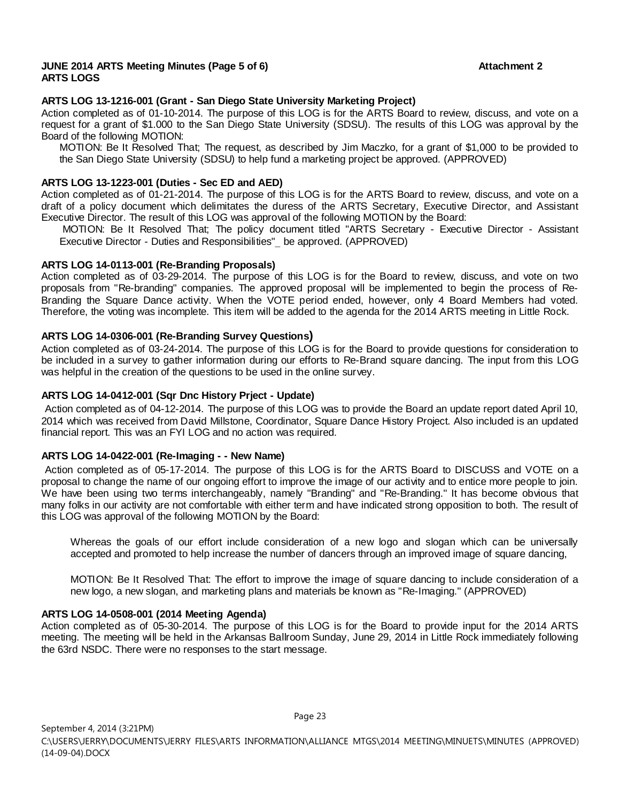#### **JUNE 2014 ARTS Meeting Minutes (Page 5 of 6) Attachment 2 Attachment 2 ARTS LOGS**

#### **ARTS LOG 13-1216-001 (Grant - San Diego State University Marketing Project)**

Action completed as of 01-10-2014. The purpose of this LOG is for the ARTS Board to review, discuss, and vote on a request for a grant of \$1.000 to the San Diego State University (SDSU). The results of this LOG was approval by the Board of the following MOTION:

MOTION: Be It Resolved That; The request, as described by Jim Maczko, for a grant of \$1,000 to be provided to the San Diego State University (SDSU) to help fund a marketing project be approved. (APPROVED)

#### **ARTS LOG 13-1223-001 (Duties - Sec ED and AED)**

Action completed as of 01-21-2014. The purpose of this LOG is for the ARTS Board to review, discuss, and vote on a draft of a policy document which delimitates the duress of the ARTS Secretary, Executive Director, and Assistant Executive Director. The result of this LOG was approval of the following MOTION by the Board:

MOTION: Be It Resolved That; The policy document titled "ARTS Secretary - Executive Director - Assistant Executive Director - Duties and Responsibilities"\_ be approved. (APPROVED)

#### **ARTS LOG 14-0113-001 (Re-Branding Proposals)**

Action completed as of 03-29-2014. The purpose of this LOG is for the Board to review, discuss, and vote on two proposals from "Re-branding" companies. The approved proposal will be implemented to begin the process of Re-Branding the Square Dance activity. When the VOTE period ended, however, only 4 Board Members had voted. Therefore, the voting was incomplete. This item will be added to the agenda for the 2014 ARTS meeting in Little Rock.

#### **ARTS LOG 14-0306-001 (Re-Branding Survey Questions)**

Action completed as of 03-24-2014. The purpose of this LOG is for the Board to provide questions for consideration to be included in a survey to gather information during our efforts to Re-Brand square dancing. The input from this LOG was helpful in the creation of the questions to be used in the online survey.

#### **ARTS LOG 14-0412-001 (Sqr Dnc History Prject - Update)**

Action completed as of 04-12-2014. The purpose of this LOG was to provide the Board an update report dated April 10, 2014 which was received from David Millstone, Coordinator, Square Dance History Project. Also included is an updated financial report. This was an FYI LOG and no action was required.

#### **ARTS LOG 14-0422-001 (Re-Imaging - - New Name)**

Action completed as of 05-17-2014. The purpose of this LOG is for the ARTS Board to DISCUSS and VOTE on a proposal to change the name of our ongoing effort to improve the image of our activity and to entice more people to join. We have been using two terms interchangeably, namely "Branding" and "Re-Branding." It has become obvious that many folks in our activity are not comfortable with either term and have indicated strong opposition to both. The result of this LOG was approval of the following MOTION by the Board:

Whereas the goals of our effort include consideration of a new logo and slogan which can be universally accepted and promoted to help increase the number of dancers through an improved image of square dancing,

MOTION: Be It Resolved That: The effort to improve the image of square dancing to include consideration of a new logo, a new slogan, and marketing plans and materials be known as "Re-Imaging." (APPROVED)

#### **ARTS LOG 14-0508-001 (2014 Meeting Agenda)**

Action completed as of 05-30-2014. The purpose of this LOG is for the Board to provide input for the 2014 ARTS meeting. The meeting will be held in the Arkansas Ballroom Sunday, June 29, 2014 in Little Rock immediately following the 63rd NSDC. There were no responses to the start message.